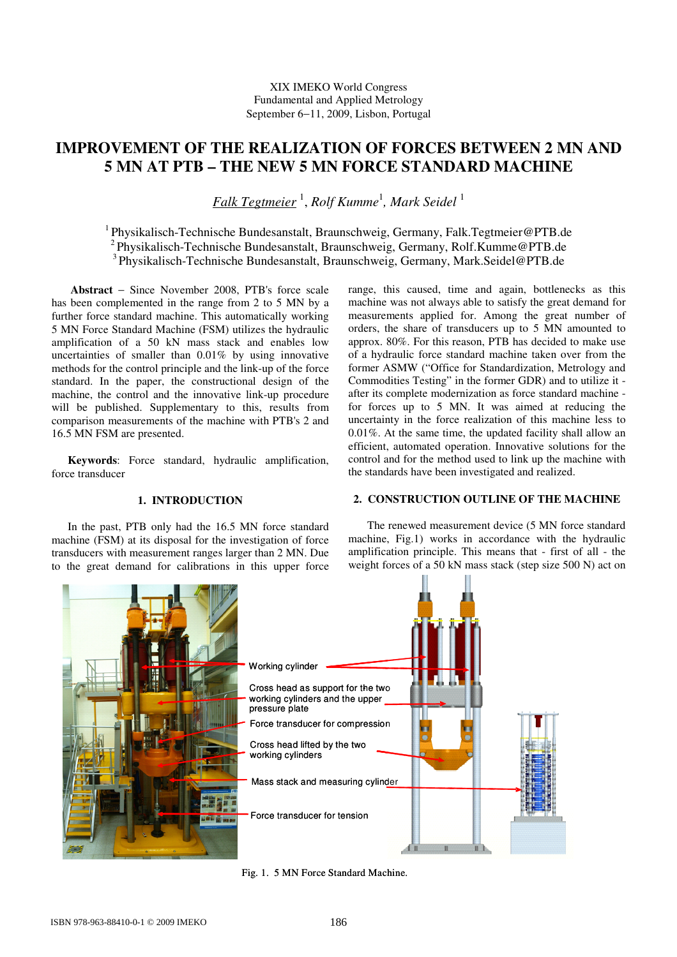# **IMPROVEMENT OF THE REALIZATION OF FORCES BETWEEN 2 MN AND 5 MN AT PTB – THE NEW 5 MN FORCE STANDARD MACHINE**

*Falk Tegtmeier* <sup>1</sup> , *Rolf Kumme*<sup>1</sup> *, Mark Seidel* <sup>1</sup>

<sup>1</sup>Physikalisch-Technische Bundesanstalt, Braunschweig, Germany, Falk.Tegtmeier@PTB.de <sup>2</sup>Physikalisch-Technische Bundesanstalt, Braunschweig, Germany, Rolf.Kumme@PTB.de <sup>3</sup>Physikalisch-Technische Bundesanstalt, Braunschweig, Germany, Mark.Seidel@PTB.de

**Abstract** − Since November 2008, PTB's force scale has been complemented in the range from 2 to 5 MN by a further force standard machine. This automatically working 5 MN Force Standard Machine (FSM) utilizes the hydraulic amplification of a 50 kN mass stack and enables low uncertainties of smaller than 0.01% by using innovative methods for the control principle and the link-up of the force standard. In the paper, the constructional design of the machine, the control and the innovative link-up procedure will be published. Supplementary to this, results from comparison measurements of the machine with PTB's 2 and 16.5 MN FSM are presented.

**Keywords**: Force standard, hydraulic amplification, force transducer

#### **1. INTRODUCTION**

In the past, PTB only had the 16.5 MN force standard machine (FSM) at its disposal for the investigation of force transducers with measurement ranges larger than 2 MN. Due to the great demand for calibrations in this upper force range, this caused, time and again, bottlenecks as this machine was not always able to satisfy the great demand for measurements applied for. Among the great number of orders, the share of transducers up to 5 MN amounted to approx. 80%. For this reason, PTB has decided to make use of a hydraulic force standard machine taken over from the former ASMW ("Office for Standardization, Metrology and Commodities Testing" in the former GDR) and to utilize it after its complete modernization as force standard machine for forces up to 5 MN. It was aimed at reducing the uncertainty in the force realization of this machine less to 0.01%. At the same time, the updated facility shall allow an efficient, automated operation. Innovative solutions for the control and for the method used to link up the machine with the standards have been investigated and realized.

## **2. CONSTRUCTION OUTLINE OF THE MACHINE**

 The renewed measurement device (5 MN force standard machine, Fig.1) works in accordance with the hydraulic amplification principle. This means that - first of all - the weight forces of a 50 kN mass stack (step size 500 N) act on



Fig. 1. 5 MN Force Standard Machine.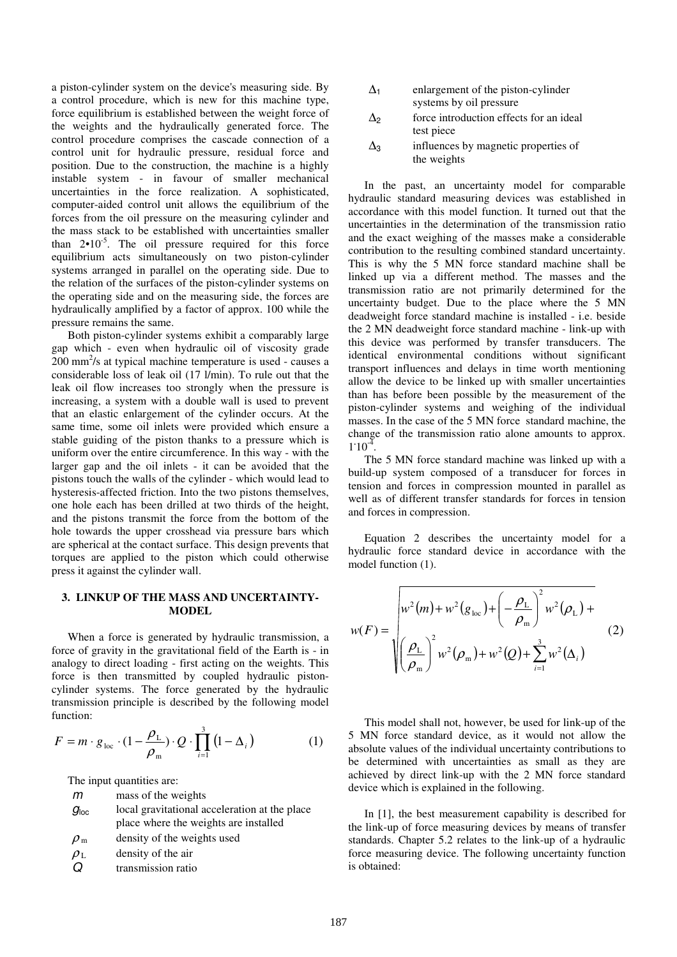a piston-cylinder system on the device's measuring side. By a control procedure, which is new for this machine type, force equilibrium is established between the weight force of the weights and the hydraulically generated force. The control procedure comprises the cascade connection of a control unit for hydraulic pressure, residual force and position. Due to the construction, the machine is a highly instable system - in favour of smaller mechanical uncertainties in the force realization. A sophisticated, computer-aided control unit allows the equilibrium of the forces from the oil pressure on the measuring cylinder and the mass stack to be established with uncertainties smaller than  $2 \cdot 10^{-5}$ . The oil pressure required for this force equilibrium acts simultaneously on two piston-cylinder systems arranged in parallel on the operating side. Due to the relation of the surfaces of the piston-cylinder systems on the operating side and on the measuring side, the forces are hydraulically amplified by a factor of approx. 100 while the pressure remains the same.

Both piston-cylinder systems exhibit a comparably large gap which - even when hydraulic oil of viscosity grade 200 mm<sup>2</sup>/s at typical machine temperature is used - causes a considerable loss of leak oil (17 l/min). To rule out that the leak oil flow increases too strongly when the pressure is increasing, a system with a double wall is used to prevent that an elastic enlargement of the cylinder occurs. At the same time, some oil inlets were provided which ensure a stable guiding of the piston thanks to a pressure which is uniform over the entire circumference. In this way - with the larger gap and the oil inlets - it can be avoided that the pistons touch the walls of the cylinder - which would lead to hysteresis-affected friction. Into the two pistons themselves, one hole each has been drilled at two thirds of the height, and the pistons transmit the force from the bottom of the hole towards the upper crosshead via pressure bars which are spherical at the contact surface. This design prevents that torques are applied to the piston which could otherwise press it against the cylinder wall.

### **3. LINKUP OF THE MASS AND UNCERTAINTY-MODEL**

When a force is generated by hydraulic transmission, a force of gravity in the gravitational field of the Earth is - in analogy to direct loading - first acting on the weights. This force is then transmitted by coupled hydraulic pistoncylinder systems. The force generated by the hydraulic transmission principle is described by the following model function:

$$
F = m \cdot g_{\text{loc}} \cdot (1 - \frac{\rho_{\text{L}}}{\rho_{\text{m}}}) \cdot Q \cdot \prod_{i=1}^{3} (1 - \Delta_{i})
$$
 (1)

The input quantities are:

- m mass of the weights
- $g<sub>loc</sub>$  local gravitational acceleration at the place place where the weights are installed
- $\rho_{\rm m}$  density of the weights used

 $\rho_L$  density of the air

Q transmission ratio

- $\Delta_1$  enlargement of the piston-cylinder systems by oil pressure
- $\Delta_2$  force introduction effects for an ideal test piece
- $\Delta_3$  influences by magnetic properties of the weights

In the past, an uncertainty model for comparable hydraulic standard measuring devices was established in accordance with this model function. It turned out that the uncertainties in the determination of the transmission ratio and the exact weighing of the masses make a considerable contribution to the resulting combined standard uncertainty. This is why the 5 MN force standard machine shall be linked up via a different method. The masses and the transmission ratio are not primarily determined for the uncertainty budget. Due to the place where the 5 MN deadweight force standard machine is installed - i.e. beside the 2 MN deadweight force standard machine - link-up with this device was performed by transfer transducers. The identical environmental conditions without significant transport influences and delays in time worth mentioning allow the device to be linked up with smaller uncertainties than has before been possible by the measurement of the piston-cylinder systems and weighing of the individual masses. In the case of the 5 MN force standard machine, the change of the transmission ratio alone amounts to approx.  $1.10^{-4}$ .

The 5 MN force standard machine was linked up with a build-up system composed of a transducer for forces in tension and forces in compression mounted in parallel as well as of different transfer standards for forces in tension and forces in compression.

Equation 2 describes the uncertainty model for a hydraulic force standard device in accordance with the model function (1).

$$
w(F) = \sqrt{\frac{w^2(m) + w^2(g_{\text{loc}}) + \left(-\frac{\rho_L}{\rho_m}\right)^2 w^2(\rho_L) + \left(\frac{\rho_L}{\rho_m}\right)^2 w^2(\rho_m) + w^2(Q) + \sum_{i=1}^3 w^2(\Delta_i)}
$$
(2)

This model shall not, however, be used for link-up of the 5 MN force standard device, as it would not allow the absolute values of the individual uncertainty contributions to be determined with uncertainties as small as they are achieved by direct link-up with the 2 MN force standard device which is explained in the following.

In [1], the best measurement capability is described for the link-up of force measuring devices by means of transfer standards. Chapter 5.2 relates to the link-up of a hydraulic force measuring device. The following uncertainty function is obtained: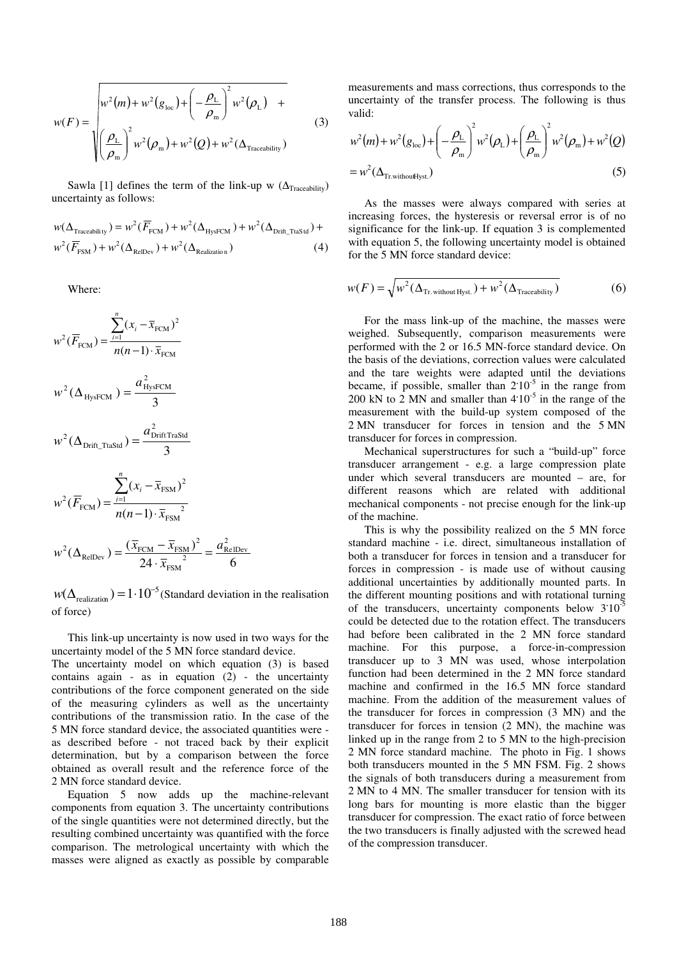$$
w(F) = \sqrt{w^2(m) + w^2(g_{loc}) + \left(-\frac{\rho_L}{\rho_m}\right)^2 w^2(\rho_L) + \left(\frac{\rho_L}{\rho_m}\right)^2 w^2(\rho_m) + w^2(Q) + w^2(\Delta_{\text{Traceability}})}
$$
(3)

Sawla [1] defines the term of the link-up w ( $\Delta_{\text{Traceability}}$ ) uncertainty as follows:

$$
w(\Delta_{\text{Traceability}}) = w^2(\overline{F}_{\text{FCM}}) + w^2(\Delta_{\text{HysFCM}}) + w^2(\Delta_{\text{Drift\_Taskd}}) + w^2(\overline{F}_{\text{FSM}}) + w^2(\Delta_{\text{Relization}}) \tag{4}
$$

Where:

$$
w^{2}(\overline{F}_{\text{FCM}}) = \frac{\sum_{i=1}^{n} (x_{i} - \overline{x}_{\text{FCM}})^{2}}{n(n-1) \cdot \overline{x}_{\text{FCM}}}
$$

$$
w^{2}(\Delta_{\text{HysFCM}}) = \frac{a_{\text{HysFCM}}^{2}}{3}
$$

$$
w^2(\Delta_{\text{Drift\_TtaStd}}) = \frac{a_{\text{Drift TraStd}}^2}{3}
$$

$$
w^{2}(\overline{F}_{\text{FCM}}) = \frac{\sum_{i=1}^{n} (x_{i} - \overline{x}_{\text{FSM}})^{2}}{n(n-1) \cdot \overline{x}_{\text{FSM}}^{2}}
$$

$$
w^{2}(\Delta_{\text{RelDev}}) = \frac{(\overline{x}_{\text{FCM}} - \overline{x}_{\text{FSM}})^{2}}{24 \cdot \overline{x}_{\text{FSM}}^{2}} = \frac{a_{\text{RelDev}}^{2}}{6}
$$

 $w(\Delta_{\text{realization}}) = 1.10^{-5}$  (Standard deviation in the realisation of force)

This link-up uncertainty is now used in two ways for the uncertainty model of the 5 MN force standard device.

The uncertainty model on which equation (3) is based contains again - as in equation (2) - the uncertainty contributions of the force component generated on the side of the measuring cylinders as well as the uncertainty contributions of the transmission ratio. In the case of the 5 MN force standard device, the associated quantities were as described before - not traced back by their explicit determination, but by a comparison between the force obtained as overall result and the reference force of the 2 MN force standard device.

Equation 5 now adds up the machine-relevant components from equation 3. The uncertainty contributions of the single quantities were not determined directly, but the resulting combined uncertainty was quantified with the force comparison. The metrological uncertainty with which the masses were aligned as exactly as possible by comparable measurements and mass corrections, thus corresponds to the uncertainty of the transfer process. The following is thus valid:

$$
w^{2}(m) + w^{2}(g_{loc}) + \left(-\frac{\rho_{L}}{\rho_{m}}\right)^{2} w^{2}(\rho_{L}) + \left(\frac{\rho_{L}}{\rho_{m}}\right)^{2} w^{2}(\rho_{m}) + w^{2}(Q)
$$
  
=  $w^{2}(\Delta_{\text{Tr. withoutHyst.}})$  (5)

As the masses were always compared with series at increasing forces, the hysteresis or reversal error is of no significance for the link-up. If equation 3 is complemented with equation 5, the following uncertainty model is obtained for the 5 MN force standard device:

$$
w(F) = \sqrt{w^2(\Delta_{\text{Tr. without Hyst.}}) + w^2(\Delta_{\text{Traceability}})}
$$
(6)

For the mass link-up of the machine, the masses were weighed. Subsequently, comparison measurements were performed with the 2 or 16.5 MN-force standard device. On the basis of the deviations, correction values were calculated and the tare weights were adapted until the deviations became, if possible, smaller than  $2.10^{-5}$  in the range from 200 kN to  $2 \text{ MN}$  and smaller than  $4.10^{-5}$  in the range of the measurement with the build-up system composed of the 2 MN transducer for forces in tension and the 5 MN transducer for forces in compression.

Mechanical superstructures for such a "build-up" force transducer arrangement - e.g. a large compression plate under which several transducers are mounted – are, for different reasons which are related with additional mechanical components - not precise enough for the link-up of the machine.

This is why the possibility realized on the 5 MN force standard machine - i.e. direct, simultaneous installation of both a transducer for forces in tension and a transducer for forces in compression - is made use of without causing additional uncertainties by additionally mounted parts. In the different mounting positions and with rotational turning of the transducers, uncertainty components below 3**.** 10-5 could be detected due to the rotation effect. The transducers had before been calibrated in the 2 MN force standard machine. For this purpose, a force-in-compression transducer up to 3 MN was used, whose interpolation function had been determined in the 2 MN force standard machine and confirmed in the 16.5 MN force standard machine. From the addition of the measurement values of the transducer for forces in compression (3 MN) and the transducer for forces in tension (2 MN), the machine was linked up in the range from 2 to 5 MN to the high-precision 2 MN force standard machine. The photo in Fig. 1 shows both transducers mounted in the 5 MN FSM. Fig. 2 shows the signals of both transducers during a measurement from 2 MN to 4 MN. The smaller transducer for tension with its long bars for mounting is more elastic than the bigger transducer for compression. The exact ratio of force between the two transducers is finally adjusted with the screwed head of the compression transducer.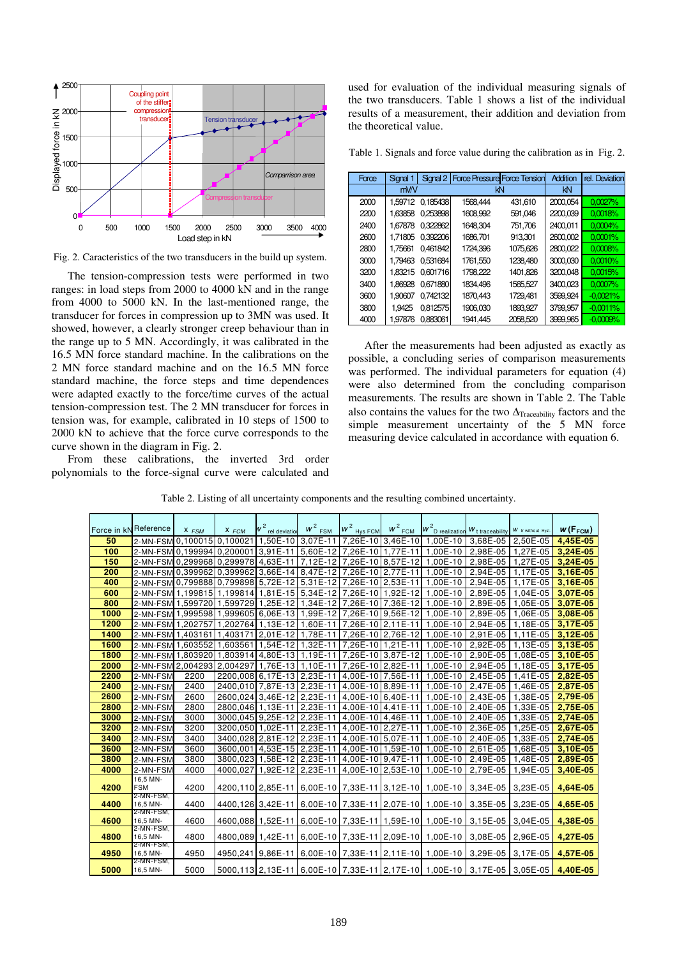

Fig. 2. Caracteristics of the two transducers in the build up system.

The tension-compression tests were performed in two ranges: in load steps from 2000 to 4000 kN and in the range from 4000 to 5000 kN. In the last-mentioned range, the transducer for forces in compression up to 3MN was used. It showed, however, a clearly stronger creep behaviour than in the range up to 5 MN. Accordingly, it was calibrated in the 16.5 MN force standard machine. In the calibrations on the 2 MN force standard machine and on the 16.5 MN force standard machine, the force steps and time dependences were adapted exactly to the force/time curves of the actual tension-compression test. The 2 MN transducer for forces in tension was, for example, calibrated in 10 steps of 1500 to 2000 kN to achieve that the force curve corresponds to the curve shown in the diagram in Fig. 2.

From these calibrations, the inverted 3rd order polynomials to the force-signal curve were calculated and used for evaluation of the individual measuring signals of the two transducers. Table 1 shows a list of the individual results of a measurement, their addition and deviation from the theoretical value.

Table 1. Signals and force value during the calibration as in Fig. 2.

| Force | Signal 1       | Signal 2 | <b>Force Pressure Force Tension</b> |          | Addition | rel. Deviation |
|-------|----------------|----------|-------------------------------------|----------|----------|----------------|
|       | m <sub>W</sub> |          | kN                                  |          | kN       |                |
| 2000  | 1.59712        | 0.185438 | 1568.444                            | 431.610  | 2000,054 | 0.0027%        |
| 2200  | 1.63858        | 0.253898 | 1608,992                            | 591,046  | 2200.039 | 0.0018%        |
| 2400  | 1.67878        | 0.322862 | 1648.304                            | 751.706  | 2400.011 | 0.0004%        |
| 2600  | 1.71805        | 0.392206 | 1686.701                            | 913.301  | 2600.002 | 0.0001%        |
| 2800  | 1.75661        | 0.461842 | 1724.396                            | 1075.626 | 2800.022 | 0.0008%        |
| 3000  | 1.79463        | 0.531684 | 1761,550                            | 1238.480 | 3000.030 | 0.0010%        |
| 3200  | 1.83215        | 0.601716 | 1798.222                            | 1401,826 | 3200.048 | 0.0015%        |
| 3400  | 1.86928        | 0.671880 | 1834.496                            | 1565,527 | 3400.023 | 0.0007%        |
| 3600  | 1.90607        | 0.742132 | 1870.443                            | 1729.481 | 3599.924 | $-0.0021%$     |
| 3800  | 1.9425         | 0.812575 | 1906,030                            | 1893.927 | 3799.957 | $-0.0011%$     |
| 4000  | 1.97876        | 0.883061 | 1941.445                            | 2058,520 | 3999,965 | $-0.0009%$     |

After the measurements had been adjusted as exactly as possible, a concluding series of comparison measurements was performed. The individual parameters for equation (4) were also determined from the concluding comparison measurements. The results are shown in Table 2. The Table also contains the values for the two  $\Delta_{\text{Traceability}}$  factors and the simple measurement uncertainty of the 5 MN force measuring device calculated in accordance with equation 6.

Table 2. Listing of all uncertainty components and the resulting combined uncertainty.

| Force in kN Reference |                                              | $X$ $FSM$ | $X$ $FCM$ | w <sup>2</sup><br>rel deviatio      | $w^2$ <sub>FSM</sub>                                           | $w^2$ Hys FCM              | $w^2$ <sub>FCM</sub> | $w^2$ <sub>D</sub> realization $w_t$ traceability                                |                   | W tr without Hyst. | $w(F_{FCM})$ |
|-----------------------|----------------------------------------------|-----------|-----------|-------------------------------------|----------------------------------------------------------------|----------------------------|----------------------|----------------------------------------------------------------------------------|-------------------|--------------------|--------------|
| 50                    | 2-MN-FSM 0.100015 0.100021 1.50E-10 3.07E-11 |           |           |                                     |                                                                |                            |                      | 7,26E-10 3,46E-10 1,00E-10                                                       | 3,68E-05          | 2,50E-05           | 4.45E-05     |
| 100                   |                                              |           |           |                                     | 2-MN-FSM 0.199994 0.200001 3.91E-11 5.60E-12 7.26E-10 1.77E-11 |                            |                      | $1.00E-10$                                                                       | 2,98E-05          | 1,27E-05           | $3,24E-05$   |
| 150                   |                                              |           |           | 2-MN-FSM 0.299968 0.299978 4.63E-11 |                                                                | 7,12E-12 7,26E-10 8,57E-12 |                      | 1.00E-10                                                                         | 2,98E-05          | 1.27E-05           | 3,24E-05     |
| 200                   |                                              |           |           |                                     | 2-MN-FSM 0.39996210.39996213.66E-14 8.47E-12 7.26E-10 2.77E-11 |                            |                      | 1.00E-10                                                                         | 2,94E-05          | 1.17E-05           | 3.16E-05     |
| 400                   |                                              |           |           |                                     | 2-MN-FSM 0.799888 0.799898 5.72E-12 5.31E-12 7.26E-10 2.53E-11 |                            |                      | 1,00E-10                                                                         | 2,94E-05          | 1,17E-05           | 3,16E-05     |
| 600                   |                                              |           |           |                                     | 2-MN-FSM 1,199815 1,199814 1,81E-15 5,34E-12 7,26E-10 1,92E-12 |                            |                      | 1,00E-10                                                                         | 2,89E-05          | 1,04E-05           | 3,07E-05     |
| 800                   |                                              |           |           |                                     |                                                                |                            |                      | 2-MN-FSM 1,599720 1,599729 1,25E-12 1,34E-12 7,26E-10 7,36E-12 1,00E-10          |                   | 2,89E-05 1,05E-05  | 3,07E-05     |
| 1000                  |                                              |           |           |                                     |                                                                |                            |                      | 2-MN-FSM 1,999598 1,999605 6,06E-13 1,99E-12 7,26E-10 9,56E-12 1,00E-10          | 2,89E-05          | 1,06E-05           | 3,08E-05     |
| 1200                  | 2-MN-FSM 1,202757 1,202764 1,13E-12 1,60E-11 |           |           |                                     |                                                                | 7,26E-10 2,11E-11          |                      | 1,00E-10 2,94E-05                                                                |                   | 1,18E-05           | 3,17E-05     |
| 1400                  | 2-MN-FSM 1,403161 1,403171 2,01E-12 1,78E-11 |           |           |                                     |                                                                | 7,26E-10 2,76E-12          |                      | 1,00E-10                                                                         | 2,91E-05          | 1,11E-05           | $3.12E - 05$ |
| 1600                  | 2-MN-FSM                                     | .603552   |           | .603561 1.54E-12 1.32E-11           |                                                                | 7.26E-1011.21E-111         |                      | 1.00E-10                                                                         | 2,92E-05          | 1.13E-05           | 3.13E-05     |
| 1800                  | 2-MN-FSM 1,803920 1,803914 4,80E-13 1,19E-11 |           |           |                                     |                                                                |                            | 7,26E-10 3,87E-12    | 1.00E-10                                                                         | 2,90E-05          | 1,08E-05           | 3,10E-05     |
| 2000                  | 2-MN-FSM 2,004293 2,004297 1,76E-13 1,10E-11 |           |           |                                     |                                                                | 7,26E-10 2,82E-11          |                      | 1,00E-10 2,94E-05                                                                |                   | 1,18E-05           | 3,17E-05     |
| 2200                  | 2-MN-FSM                                     | 2200      |           | 2200,008 6,17E-13 2,23E-11          |                                                                | 4,00E-10 7,56E-11          |                      | 1,00E-10                                                                         | 2,45E-05          | 1,41E-05           | 2,82E-05     |
| 2400                  | 2-MN-FSM                                     | 2400      |           | 2400.010 7.87E-13 2.23E-11          |                                                                | 4,00E-10 8,89E-11          |                      | 1.00E-10                                                                         | 2.47E-05          | 1.46E-05           | 2.87E-05     |
| 2600                  | 2-MN-FSM                                     | 2600      |           | 2600.024 3.46E-12 2.23E-11          |                                                                | 4.00E-1016.40E-11          |                      | $1.00E-10$                                                                       | 2,43E-05          | 1,38E-05           | 2,79E-05     |
| 2800                  | 2-MN-FSM                                     | 2800      |           | 2800.046 1.13E-11 2.23E-11          |                                                                | 4.00E-1014.41E-11          |                      | $1.00E-10$                                                                       | 2.40E-05          | 1.33E-05           | 2.75E-05     |
| 3000                  | 2-MN-FSM                                     | 3000      |           | 3000,045 9,25E-12 2,23E-11          |                                                                | 4,00E-10   4,46E-11        |                      | 1,00E-10                                                                         | 2,40E-05          | 1,33E-05           | 2,74E-05     |
| 3200                  | 2-MN-FSM                                     | 3200      |           | 3200,050 1,02E-11 2,23E-11          |                                                                | 4,00E-10 2,27E-11          |                      | 1,00E-10                                                                         | 2,36E-05          | 1,25E-05           | 2,67E-05     |
| 3400                  | 2-MN-FSM                                     | 3400      |           | 3400,028 2,81E-12 2,23E-11          |                                                                | 4,00E-10 5,07E-11          |                      |                                                                                  | 1,00E-10 2,40E-05 | 1,33E-05           | 2,74E-05     |
| 3600                  | 2-MN-FSM                                     | 3600      |           | 3600,001 4,53E-15 2,23E-11          |                                                                |                            |                      | 4,00E-10 1,59E-10 1,00E-10                                                       | 2,61E-05          | 1,68E-05           | 3,10E-05     |
| 3800                  | 2-MN-FSM                                     | 3800      |           | 3800.023 1.58 E-12 2.23 E-11        |                                                                |                            |                      | 4.00E-1019.47E-111 1.00E-10                                                      | 2.49E-05          | 1.48E-05           | 2.89E-05     |
| 4000                  | 2-MN-FSM                                     | 4000      |           | 4000,027 1,92E-12 2,23E-11          |                                                                |                            |                      | 4,00E-10 2,53E-10 1,00E-10                                                       | 2,79E-05          | 1,94E-05           | 3,40E-05     |
|                       | 16,5 MN-<br><b>FSM</b>                       |           |           |                                     |                                                                |                            |                      |                                                                                  |                   |                    |              |
| 4200                  | 2-MN-FSM,                                    | 4200      |           |                                     |                                                                |                            |                      | 4200,110 2,85E-11 6,00E-10 7,33E-11 3,12E-10 1,00E-10                            | 3,34E-05          | 3,23E-05           | 4,64E-05     |
| 4400                  | 16,5 MN-                                     | 4400      |           |                                     |                                                                |                            |                      | 4400,126 3,42E-11 6,00E-10 7,33E-11 2,07E-10 1,00E-10 3,35E-05                   |                   | 3.23E-05           | 4,65E-05     |
| 4600                  | 2-MN-FSM,<br>16,5 MN-                        | 4600      |           |                                     |                                                                |                            |                      | 4600.088 1.52E-11 6.00E-10 7.33E-11 1.59E-10 1.00E-10 3.15E-05                   |                   | 3.04E-05           | 4,38E-05     |
|                       | 2-MN-FSM,                                    |           |           |                                     |                                                                |                            |                      |                                                                                  |                   |                    |              |
| 4800                  | 16,5 MN-<br>2-MN-FSM,                        | 4800      |           |                                     |                                                                |                            |                      | 4800,089 1,42E-11 6,00E-10 7,33E-11 2,09E-10 1,00E-10                            | 3,08E-05 2,96E-05 |                    | 4.27E-05     |
| 4950                  | 16,5 MN-                                     | 4950      |           |                                     |                                                                |                            |                      | 4950,241 9,86E-11 6,00E-10 7,33E-11 2,11E-10 1,00E-10 3,29E-05 3,17E-05          |                   |                    | 4,57E-05     |
| 5000                  | 2-MN-FSM,<br>16,5 MN-                        | 5000      |           |                                     |                                                                |                            |                      | 5000,113 2,13E-11 6,00E-10 7,33E-11 2,17E-10 1,00E-10 3,17E-05 3,05E-05 4,40E-05 |                   |                    |              |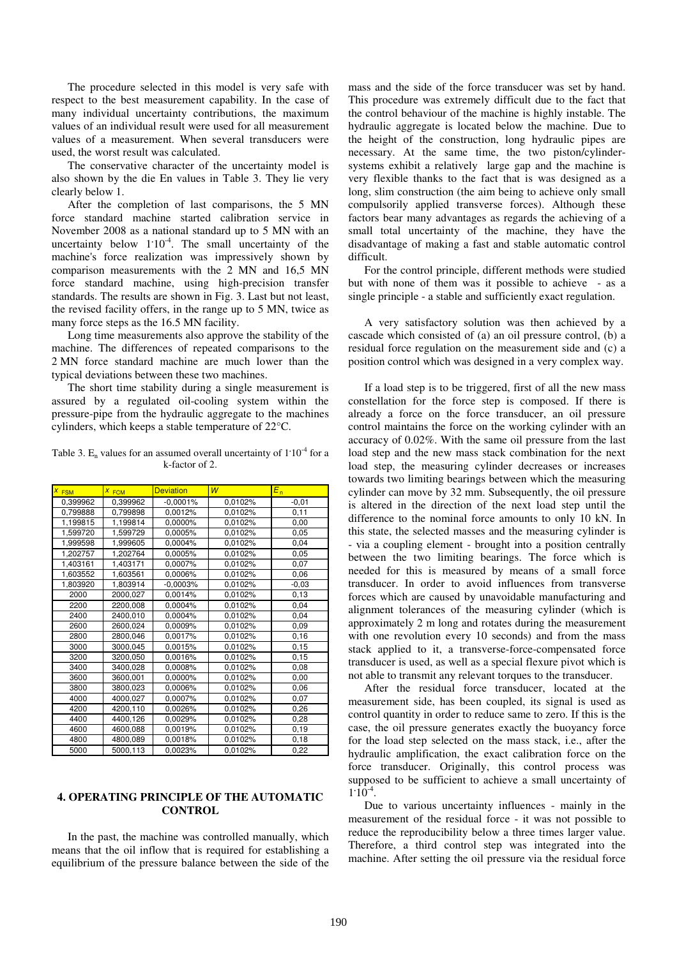The procedure selected in this model is very safe with respect to the best measurement capability. In the case of many individual uncertainty contributions, the maximum values of an individual result were used for all measurement values of a measurement. When several transducers were used, the worst result was calculated.

The conservative character of the uncertainty model is also shown by the die En values in Table 3. They lie very clearly below 1.

After the completion of last comparisons, the 5 MN force standard machine started calibration service in November 2008 as a national standard up to 5 MN with an uncertainty below  $1.10^{-4}$ . The small uncertainty of the machine's force realization was impressively shown by comparison measurements with the 2 MN and 16,5 MN force standard machine, using high-precision transfer standards. The results are shown in Fig. 3. Last but not least, the revised facility offers, in the range up to 5 MN, twice as many force steps as the 16.5 MN facility.

Long time measurements also approve the stability of the machine. The differences of repeated comparisons to the 2 MN force standard machine are much lower than the typical deviations between these two machines.

The short time stability during a single measurement is assured by a regulated oil-cooling system within the pressure-pipe from the hydraulic aggregate to the machines cylinders, which keeps a stable temperature of 22°C.

Table 3.  $E_n$  values for an assumed overall uncertainty of  $1.10<sup>-4</sup>$  for a k-factor of 2.

| $\overline{x}$<br><b>FSM</b> | $X$ FCM  | <b>Deviation</b> | $\overline{W}$ | $E_n$   |
|------------------------------|----------|------------------|----------------|---------|
| 0,399962                     | 0,399962 | $-0.0001%$       | 0,0102%        | $-0,01$ |
| 0,799888                     | 0.799898 | 0,0012%          | 0,0102%        | 0,11    |
| 1,199815                     | 1,199814 | 0,0000%          | 0,0102%        | 0,00    |
| 1,599720                     | 1,599729 | 0.0005%          | 0.0102%        | 0.05    |
| 1,999598                     | 1,999605 | 0,0004%          | 0,0102%        | 0,04    |
| 1,202757                     | 1,202764 | 0,0005%          | 0,0102%        | 0,05    |
| 1,403161                     | 1,403171 | 0,0007%          | 0,0102%        | 0,07    |
| 1,603552                     | 1,603561 | 0,0006%          | 0,0102%        | 0,06    |
| 1,803920                     | 1,803914 | $-0,0003%$       | 0,0102%        | $-0,03$ |
| 2000                         | 2000,027 | 0,0014%          | 0,0102%        | 0, 13   |
| 2200                         | 2200,008 | 0.0004%          | 0.0102%        | 0,04    |
| 2400                         | 2400,010 | 0,0004%          | 0,0102%        | 0,04    |
| 2600                         | 2600,024 | 0.0009%          | 0,0102%        | 0,09    |
| 2800                         | 2800,046 | 0,0017%          | 0,0102%        | 0, 16   |
| 3000                         | 3000,045 | 0,0015%          | 0,0102%        | 0, 15   |
| 3200                         | 3200,050 | 0.0016%          | 0,0102%        | 0, 15   |
| 3400                         | 3400,028 | 0.0008%          | 0,0102%        | 0,08    |
| 3600                         | 3600,001 | 0,0000%          | 0,0102%        | 0,00    |
| 3800                         | 3800,023 | 0,0006%          | 0,0102%        | 0,06    |
| 4000                         | 4000,027 | 0.0007%          | 0.0102%        | 0,07    |
| 4200                         | 4200,110 | 0,0026%          | 0,0102%        | 0,26    |
| 4400                         | 4400,126 | 0,0029%          | 0,0102%        | 0,28    |
| 4600                         | 4600,088 | 0.0019%          | 0.0102%        | 0, 19   |
| 4800                         | 4800,089 | 0,0018%          | 0,0102%        | 0, 18   |
| 5000                         | 5000,113 | 0.0023%          | 0.0102%        | 0,22    |

#### **4. OPERATING PRINCIPLE OF THE AUTOMATIC CONTROL**

In the past, the machine was controlled manually, which means that the oil inflow that is required for establishing a equilibrium of the pressure balance between the side of the mass and the side of the force transducer was set by hand. This procedure was extremely difficult due to the fact that the control behaviour of the machine is highly instable. The hydraulic aggregate is located below the machine. Due to the height of the construction, long hydraulic pipes are necessary. At the same time, the two piston/cylindersystems exhibit a relatively large gap and the machine is very flexible thanks to the fact that is was designed as a long, slim construction (the aim being to achieve only small compulsorily applied transverse forces). Although these factors bear many advantages as regards the achieving of a small total uncertainty of the machine, they have the disadvantage of making a fast and stable automatic control difficult.

For the control principle, different methods were studied but with none of them was it possible to achieve - as a single principle - a stable and sufficiently exact regulation.

A very satisfactory solution was then achieved by a cascade which consisted of (a) an oil pressure control, (b) a residual force regulation on the measurement side and (c) a position control which was designed in a very complex way.

If a load step is to be triggered, first of all the new mass constellation for the force step is composed. If there is already a force on the force transducer, an oil pressure control maintains the force on the working cylinder with an accuracy of 0.02%. With the same oil pressure from the last load step and the new mass stack combination for the next load step, the measuring cylinder decreases or increases towards two limiting bearings between which the measuring cylinder can move by 32 mm. Subsequently, the oil pressure is altered in the direction of the next load step until the difference to the nominal force amounts to only 10 kN. In this state, the selected masses and the measuring cylinder is - via a coupling element - brought into a position centrally between the two limiting bearings. The force which is needed for this is measured by means of a small force transducer. In order to avoid influences from transverse forces which are caused by unavoidable manufacturing and alignment tolerances of the measuring cylinder (which is approximately 2 m long and rotates during the measurement with one revolution every 10 seconds) and from the mass stack applied to it, a transverse-force-compensated force transducer is used, as well as a special flexure pivot which is not able to transmit any relevant torques to the transducer.

After the residual force transducer, located at the measurement side, has been coupled, its signal is used as control quantity in order to reduce same to zero. If this is the case, the oil pressure generates exactly the buoyancy force for the load step selected on the mass stack, i.e., after the hydraulic amplification, the exact calibration force on the force transducer. Originally, this control process was supposed to be sufficient to achieve a small uncertainty of  $1.\overline{10^{-4}}$ .

Due to various uncertainty influences - mainly in the measurement of the residual force - it was not possible to reduce the reproducibility below a three times larger value. Therefore, a third control step was integrated into the machine. After setting the oil pressure via the residual force